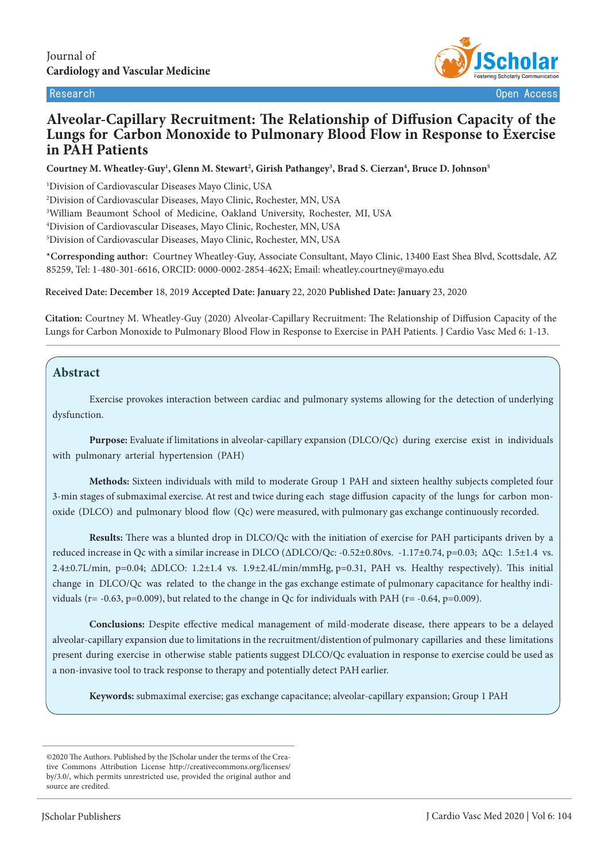

# **Alveolar-Capillary Recruitment: The Relationship of Diffusion Capacity of the Lungs for Carbon Monoxide to Pulmonary Blood Flow in Response to Exercise in PAH Patients**

**Courtney M. Wheatley-Guy1 , Glenn M. Stewart2 , Girish Pathangey3 , Brad S. Cierzan4 , Bruce D. Johnson5**

 Division of Cardiovascular Diseases Mayo Clinic, USA Division of Cardiovascular Diseases, Mayo Clinic, Rochester, MN, USA William Beaumont School of Medicine, Oakland University, Rochester, MI, USA Division of Cardiovascular Diseases, Mayo Clinic, Rochester, MN, USA Division of Cardiovascular Diseases, Mayo Clinic, Rochester, MN, USA

**\*Corresponding author:** Courtney Wheatley-Guy, Associate Consultant, Mayo Clinic, 13400 East Shea Blvd, Scottsdale, AZ 85259, Tel: 1-480-301-6616, ORCID: 0000-0002-2854-462X; Email: wheatley.courtney@mayo.edu

**Received Date: December** 18, 2019 **Accepted Date: January** 22, 2020 **Published Date: January** 23, 2020

**Citation:** Courtney M. Wheatley-Guy (2020) Alveolar-Capillary Recruitment: The Relationship of Diffusion Capacity of the Lungs for Carbon Monoxide to Pulmonary Blood Flow in Response to Exercise in PAH Patients. J Cardio Vasc Med 6: 1-13.

## **Abstract**

 $\overline{\phantom{a}}$ 

Exercise provokes interaction between cardiac and pulmonary systems allowing for the detection of underlying dysfunction.

**Purpose:** Evaluate if limitations in alveolar-capillary expansion (DLCO/Qc) during exercise exist in individuals with pulmonary arterial hypertension (PAH)

**Methods:** Sixteen individuals with mild to moderate Group 1 PAH and sixteen healthy subjects completed four 3-min stages of submaximal exercise. At rest and twice during each stage diffusion capacity of the lungs for carbon monoxide (DLCO) and pulmonary blood flow (Qc) were measured, with pulmonary gas exchange continuously recorded.

**Results:** There was a blunted drop in DLCO/Qc with the initiation of exercise for PAH participants driven by a reduced increase in Qc with a similar increase in DLCO (ΔDLCO/Qc: -0.52±0.80vs. -1.17±0.74, p=0.03; ΔQc: 1.5±1.4 vs. 2.4±0.7L/min, p=0.04; ΔDLCO: 1.2±1.4 vs. 1.9±2.4L/min/mmHg, p=0.31, PAH vs. Healthy respectively). This initial change in DLCO/Qc was related to the change in the gas exchange estimate of pulmonary capacitance for healthy individuals ( $r = -0.63$ ,  $p = 0.009$ ), but related to the change in Qc for individuals with PAH ( $r = -0.64$ ,  $p = 0.009$ ).

**Conclusions:** Despite effective medical management of mild-moderate disease, there appears to be a delayed alveolar-capillary expansion due to limitations in the recruitment/distention of pulmonary capillaries and these limitations present during exercise in otherwise stable patients suggest DLCO/Qc evaluation in response to exercise could be used as a non-invasive tool to track response to therapy and potentially detect PAH earlier.

**Keywords:** submaximal exercise; gas exchange capacitance; alveolar-capillary expansion; Group 1 PAH

<sup>©2020</sup> The Authors. Published by the JScholar under the terms of the Creative Commons Attribution License http://creativecommons.org/licenses/ by/3.0/, which permits unrestricted use, provided the original author and source are credited.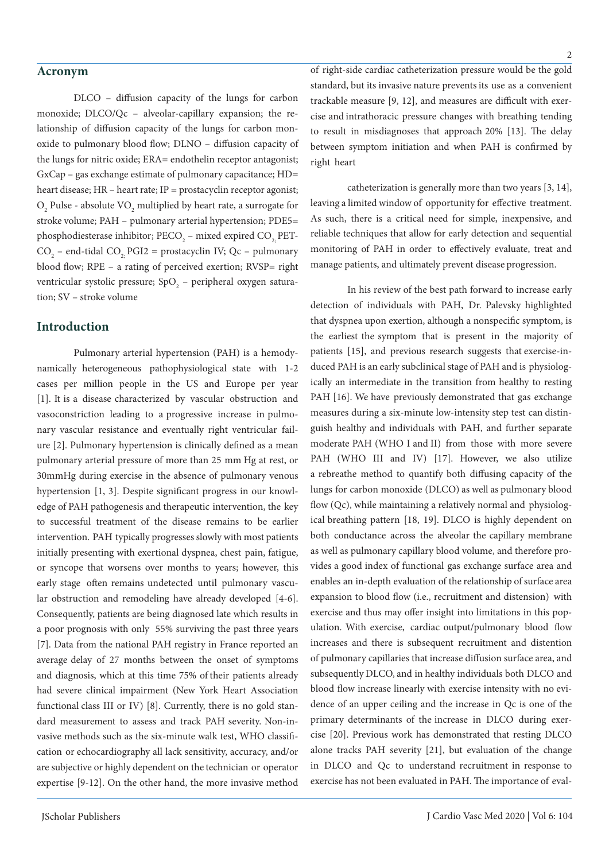#### **Acronym**

DLCO – diffusion capacity of the lungs for carbon monoxide; DLCO/Qc – alveolar-capillary expansion; the relationship of diffusion capacity of the lungs for carbon monoxide to pulmonary blood flow; DLNO – diffusion capacity of the lungs for nitric oxide; ERA= endothelin receptor antagonist; GxCap – gas exchange estimate of pulmonary capacitance; HD= heart disease; HR – heart rate; IP = prostacyclin receptor agonist;  $O_2$  Pulse - absolute  $\rm VO_2$  multiplied by heart rate, a surrogate for stroke volume; PAH – pulmonary arterial hypertension; PDE5= phosphodiesterase inhibitor;  $\text{PECO}_2$  – mixed expired  $\text{CO}_{2;}$  PET- $CO_2$  – end-tidal  $CO_2$ , PGI2 = prostacyclin IV; Qc – pulmonary blood flow; RPE - a rating of perceived exertion; RVSP= right ventricular systolic pressure; SpO<sub>2</sub> – peripheral oxygen saturation; SV – stroke volume

#### **Introduction**

Pulmonary arterial hypertension (PAH) is a hemodynamically heterogeneous pathophysiological state with 1-2 cases per million people in the US and Europe per year [1]. It is a disease characterized by vascular obstruction and vasoconstriction leading to a progressive increase in pulmonary vascular resistance and eventually right ventricular failure [2]. Pulmonary hypertension is clinically defined as a mean pulmonary arterial pressure of more than 25 mm Hg at rest, or 30mmHg during exercise in the absence of pulmonary venous hypertension [1, 3]. Despite significant progress in our knowledge of PAH pathogenesis and therapeutic intervention, the key to successful treatment of the disease remains to be earlier intervention. PAH typically progresses slowly with most patients initially presenting with exertional dyspnea, chest pain, fatigue, or syncope that worsens over months to years; however, this early stage often remains undetected until pulmonary vascular obstruction and remodeling have already developed [4-6]. Consequently, patients are being diagnosed late which results in a poor prognosis with only 55% surviving the past three years [7]. Data from the national PAH registry in France reported an average delay of 27 months between the onset of symptoms and diagnosis, which at this time 75% of their patients already had severe clinical impairment (New York Heart Association functional class III or IV) [8]. Currently, there is no gold standard measurement to assess and track PAH severity. Non-invasive methods such as the six-minute walk test, WHO classification or echocardiography all lack sensitivity, accuracy, and/or are subjective or highly dependent on the technician or operator expertise [9-12]. On the other hand, the more invasive method

of right-side cardiac catheterization pressure would be the gold standard, but its invasive nature prevents its use as a convenient trackable measure [9, 12], and measures are difficult with exercise and intrathoracic pressure changes with breathing tending to result in misdiagnoses that approach 20% [13]. The delay between symptom initiation and when PAH is confirmed by right heart

catheterization is generally more than two years [3, 14], leaving a limited window of opportunity for effective treatment. As such, there is a critical need for simple, inexpensive, and reliable techniques that allow for early detection and sequential monitoring of PAH in order to effectively evaluate, treat and manage patients, and ultimately prevent disease progression.

In his review of the best path forward to increase early detection of individuals with PAH, Dr. Palevsky highlighted that dyspnea upon exertion, although a nonspecific symptom, is the earliest the symptom that is present in the majority of patients [15], and previous research suggests that exercise-induced PAH is an early subclinical stage of PAH and is physiologically an intermediate in the transition from healthy to resting PAH [16]. We have previously demonstrated that gas exchange measures during a six-minute low-intensity step test can distinguish healthy and individuals with PAH, and further separate moderate PAH (WHO I and II) from those with more severe PAH (WHO III and IV) [17]. However, we also utilize a rebreathe method to quantify both diffusing capacity of the lungs for carbon monoxide (DLCO) as well as pulmonary blood flow (Qc), while maintaining a relatively normal and physiological breathing pattern [18, 19]. DLCO is highly dependent on both conductance across the alveolar the capillary membrane as well as pulmonary capillary blood volume, and therefore provides a good index of functional gas exchange surface area and enables an in-depth evaluation of the relationship of surface area expansion to blood flow (i.e., recruitment and distension) with exercise and thus may offer insight into limitations in this population. With exercise, cardiac output/pulmonary blood flow increases and there is subsequent recruitment and distention of pulmonary capillaries that increase diffusion surface area, and subsequently DLCO, and in healthy individuals both DLCO and blood flow increase linearly with exercise intensity with no evidence of an upper ceiling and the increase in Qc is one of the primary determinants of the increase in DLCO during exercise [20]. Previous work has demonstrated that resting DLCO alone tracks PAH severity [21], but evaluation of the change in DLCO and Qc to understand recruitment in response to exercise has not been evaluated in PAH. The importance of eval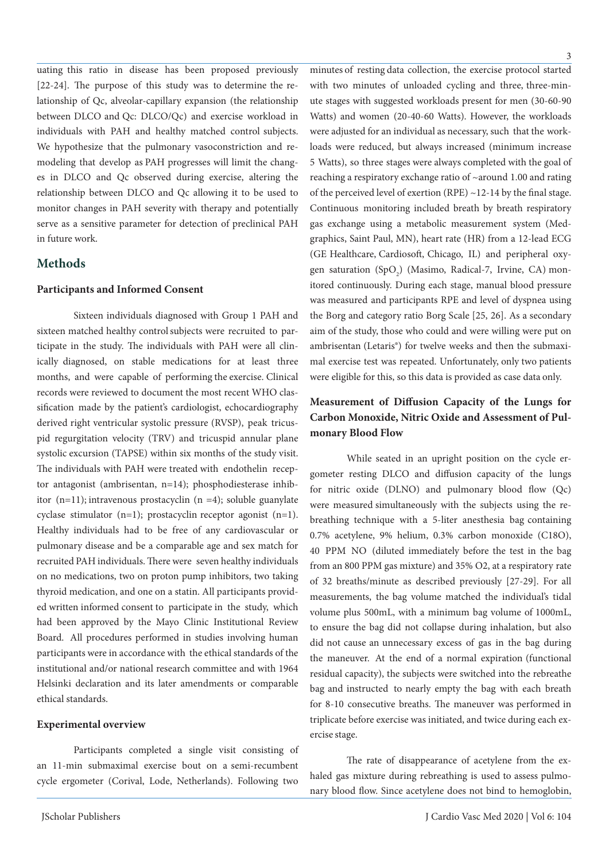uating this ratio in disease has been proposed previously [22-24]. The purpose of this study was to determine the relationship of Qc, alveolar-capillary expansion (the relationship between DLCO and Qc: DLCO/Qc) and exercise workload in individuals with PAH and healthy matched control subjects. We hypothesize that the pulmonary vasoconstriction and remodeling that develop as PAH progresses will limit the changes in DLCO and Qc observed during exercise, altering the relationship between DLCO and Qc allowing it to be used to monitor changes in PAH severity with therapy and potentially serve as a sensitive parameter for detection of preclinical PAH in future work.

## **Methods**

#### **Participants and Informed Consent**

Sixteen individuals diagnosed with Group 1 PAH and sixteen matched healthy control subjects were recruited to participate in the study. The individuals with PAH were all clinically diagnosed, on stable medications for at least three months, and were capable of performing the exercise. Clinical records were reviewed to document the most recent WHO classification made by the patient's cardiologist, echocardiography derived right ventricular systolic pressure (RVSP), peak tricuspid regurgitation velocity (TRV) and tricuspid annular plane systolic excursion (TAPSE) within six months of the study visit. The individuals with PAH were treated with endothelin receptor antagonist (ambrisentan, n=14); phosphodiesterase inhibitor  $(n=11)$ ; intravenous prostacyclin  $(n=4)$ ; soluble guanylate cyclase stimulator (n=1); prostacyclin receptor agonist (n=1). Healthy individuals had to be free of any cardiovascular or pulmonary disease and be a comparable age and sex match for recruited PAH individuals. There were seven healthy individuals on no medications, two on proton pump inhibitors, two taking thyroid medication, and one on a statin. All participants provided written informed consent to participate in the study, which had been approved by the Mayo Clinic Institutional Review Board. All procedures performed in studies involving human participants were in accordance with the ethical standards of the institutional and/or national research committee and with 1964 Helsinki declaration and its later amendments or comparable ethical standards.

#### **Experimental overview**

Participants completed a single visit consisting of an 11-min submaximal exercise bout on a semi-recumbent cycle ergometer (Corival, Lode, Netherlands). Following two

minutes of resting data collection, the exercise protocol started with two minutes of unloaded cycling and three, three-minute stages with suggested workloads present for men (30-60-90 Watts) and women (20-40-60 Watts). However, the workloads were adjusted for an individual as necessary, such that the workloads were reduced, but always increased (minimum increase 5 Watts), so three stages were always completed with the goal of reaching a respiratory exchange ratio of ~around 1.00 and rating of the perceived level of exertion (RPE)  $\sim$ 12-14 by the final stage. Continuous monitoring included breath by breath respiratory gas exchange using a metabolic measurement system (Medgraphics, Saint Paul, MN), heart rate (HR) from a 12-lead ECG (GE Healthcare, Cardiosoft, Chicago, IL) and peripheral oxygen saturation  $(SpO<sub>2</sub>)$  (Masimo, Radical-7, Irvine, CA) monitored continuously. During each stage, manual blood pressure was measured and participants RPE and level of dyspnea using the Borg and category ratio Borg Scale [25, 26]. As a secondary aim of the study, those who could and were willing were put on ambrisentan (Letaris®) for twelve weeks and then the submaximal exercise test was repeated. Unfortunately, only two patients were eligible for this, so this data is provided as case data only.

# **Measurement of Diffusion Capacity of the Lungs for Carbon Monoxide, Nitric Oxide and Assessment of Pulmonary Blood Flow**

While seated in an upright position on the cycle ergometer resting DLCO and diffusion capacity of the lungs for nitric oxide (DLNO) and pulmonary blood flow (Qc) were measured simultaneously with the subjects using the rebreathing technique with a 5-liter anesthesia bag containing 0.7% acetylene, 9% helium, 0.3% carbon monoxide (C18O), 40 PPM NO (diluted immediately before the test in the bag from an 800 PPM gas mixture) and 35% O2, at a respiratory rate of 32 breaths/minute as described previously [27-29]. For all measurements, the bag volume matched the individual's tidal volume plus 500mL, with a minimum bag volume of 1000mL, to ensure the bag did not collapse during inhalation, but also did not cause an unnecessary excess of gas in the bag during the maneuver. At the end of a normal expiration (functional residual capacity), the subjects were switched into the rebreathe bag and instructed to nearly empty the bag with each breath for 8-10 consecutive breaths. The maneuver was performed in triplicate before exercise was initiated, and twice during each exercise stage.

The rate of disappearance of acetylene from the exhaled gas mixture during rebreathing is used to assess pulmonary blood flow. Since acetylene does not bind to hemoglobin,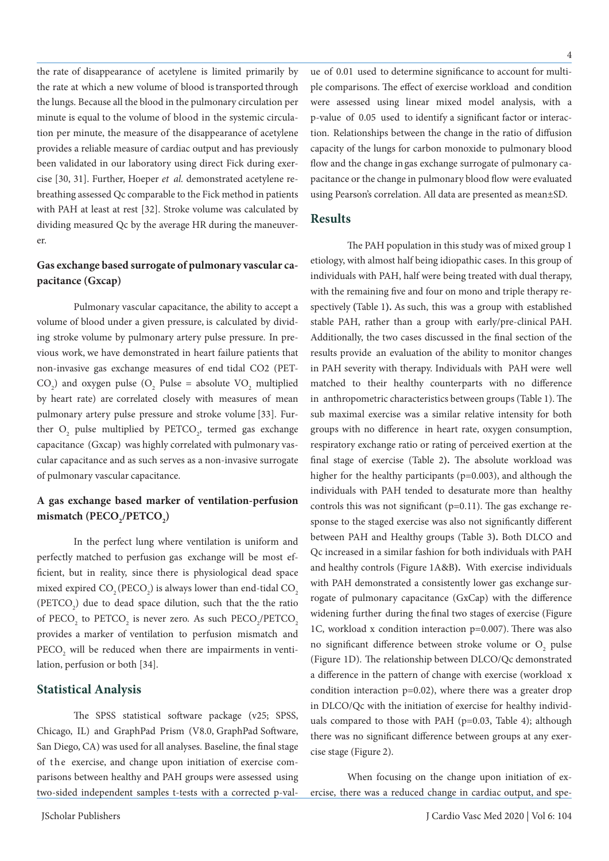the rate of disappearance of acetylene is limited primarily by the rate at which a new volume of blood is transported through the lungs. Because all the blood in the pulmonary circulation per minute is equal to the volume of blood in the systemic circulation per minute, the measure of the disappearance of acetylene provides a reliable measure of cardiac output and has previously been validated in our laboratory using direct Fick during exercise [30, 31]. Further, Hoeper *et al.* demonstrated acetylene rebreathing assessed Qc comparable to the Fick method in patients with PAH at least at rest [32]. Stroke volume was calculated by dividing measured Qc by the average HR during the maneuverer.

## **Gas exchange based surrogate of pulmonary vascular capacitance (Gxcap)**

Pulmonary vascular capacitance, the ability to accept a volume of blood under a given pressure, is calculated by dividing stroke volume by pulmonary artery pulse pressure. In previous work, we have demonstrated in heart failure patients that non-invasive gas exchange measures of end tidal CO2 (PET- $CO<sub>2</sub>$ ) and oxygen pulse ( $O<sub>2</sub>$  Pulse = absolute VO<sub>2</sub> multiplied by heart rate) are correlated closely with measures of mean pulmonary artery pulse pressure and stroke volume [33]. Further  $O_2$  pulse multiplied by PETCO<sub>2</sub>, termed gas exchange capacitance (Gxcap) was highly correlated with pulmonary vascular capacitance and as such serves as a non-invasive surrogate of pulmonary vascular capacitance.

# **A gas exchange based marker of ventilation-perfusion**  mismatch (PECO<sub>2</sub>/PETCO<sub>2</sub>)

In the perfect lung where ventilation is uniform and perfectly matched to perfusion gas exchange will be most efficient, but in reality, since there is physiological dead space mixed expired  $\text{CO}_2(\text{PECO}_2)$  is always lower than end-tidal  $\text{CO}_2$  $(PETCO<sub>2</sub>)$  due to dead space dilution, such that the the ratio of  $\text{PECO}_2$  to  $\text{PETCO}_2$  is never zero. As such  $\text{PECO}_2/\text{PETCO}_2$ provides a marker of ventilation to perfusion mismatch and  $\text{PECO}_2$  will be reduced when there are impairments in ventilation, perfusion or both [34].

#### **Statistical Analysis**

The SPSS statistical software package (v25; SPSS, Chicago, IL) and GraphPad Prism (V8.0, GraphPad Software, San Diego, CA) was used for all analyses. Baseline, the final stage of the exercise, and change upon initiation of exercise comparisons between healthy and PAH groups were assessed using two-sided independent samples t-tests with a corrected p-value of 0.01 used to determine significance to account for multiple comparisons. The effect of exercise workload and condition were assessed using linear mixed model analysis, with a p-value of 0.05 used to identify a significant factor or interaction. Relationships between the change in the ratio of diffusion capacity of the lungs for carbon monoxide to pulmonary blood flow and the change in gas exchange surrogate of pulmonary capacitance or the change in pulmonary blood flow were evaluated using Pearson's correlation. All data are presented as mean±SD.

#### **Results**

The PAH population in this study was of mixed group 1 etiology, with almost half being idiopathic cases. In this group of individuals with PAH, half were being treated with dual therapy, with the remaining five and four on mono and triple therapy respectively **(**Table 1**).** As such, this was a group with established stable PAH, rather than a group with early/pre-clinical PAH. Additionally, the two cases discussed in the final section of the results provide an evaluation of the ability to monitor changes in PAH severity with therapy. Individuals with PAH were well matched to their healthy counterparts with no difference in anthropometric characteristics between groups (Table 1). The sub maximal exercise was a similar relative intensity for both groups with no difference in heart rate, oxygen consumption, respiratory exchange ratio or rating of perceived exertion at the final stage of exercise (Table 2**).** The absolute workload was higher for the healthy participants (p=0.003), and although the individuals with PAH tended to desaturate more than healthy controls this was not significant  $(p=0.11)$ . The gas exchange response to the staged exercise was also not significantly different between PAH and Healthy groups (Table 3**).** Both DLCO and Qc increased in a similar fashion for both individuals with PAH and healthy controls (Figure 1A&B**).** With exercise individuals with PAH demonstrated a consistently lower gas exchange surrogate of pulmonary capacitance (GxCap) with the difference widening further during the final two stages of exercise (Figure 1C, workload x condition interaction p=0.007). There was also no significant difference between stroke volume or  $O_2$  pulse (Figure 1D). The relationship between DLCO/Qc demonstrated a difference in the pattern of change with exercise (workload x condition interaction p=0.02), where there was a greater drop in DLCO/Qc with the initiation of exercise for healthy individuals compared to those with PAH (p=0.03, Table 4); although there was no significant difference between groups at any exercise stage (Figure 2).

When focusing on the change upon initiation of exercise, there was a reduced change in cardiac output, and spe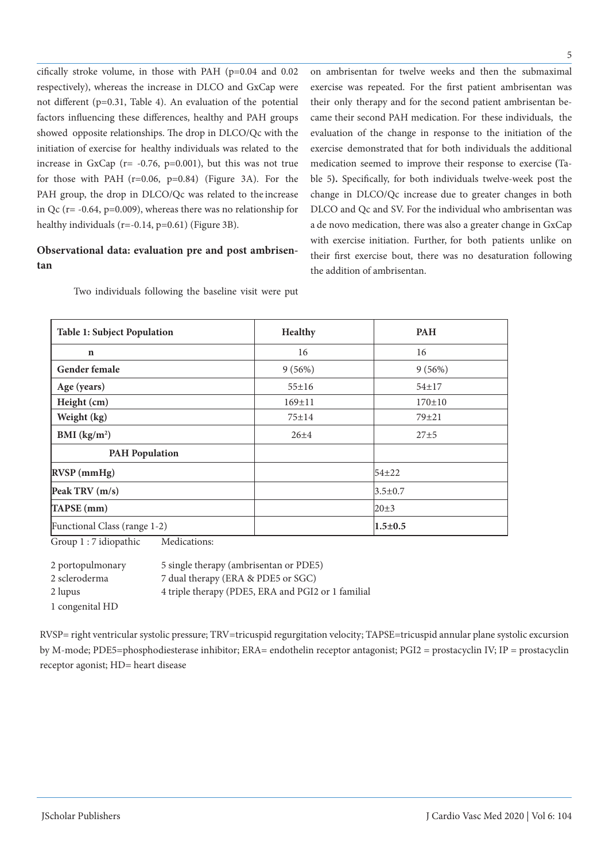cifically stroke volume, in those with PAH (p=0.04 and 0.02 respectively), whereas the increase in DLCO and GxCap were not different (p=0.31, Table 4). An evaluation of the potential factors influencing these differences, healthy and PAH groups showed opposite relationships. The drop in DLCO/Qc with the initiation of exercise for healthy individuals was related to the increase in GxCap ( $r = -0.76$ ,  $p=0.001$ ), but this was not true for those with PAH  $(r=0.06, p=0.84)$  (Figure 3A). For the PAH group, the drop in DLCO/Qc was related to the increase in Qc ( $r = -0.64$ ,  $p = 0.009$ ), whereas there was no relationship for healthy individuals (r=-0.14, p=0.61) (Figure 3B).

## **Observational data: evaluation pre and post ambrisentan**

Two individuals following the baseline visit were put

on ambrisentan for twelve weeks and then the submaximal exercise was repeated. For the first patient ambrisentan was their only therapy and for the second patient ambrisentan became their second PAH medication. For these individuals, the evaluation of the change in response to the initiation of the exercise demonstrated that for both individuals the additional medication seemed to improve their response to exercise **(**Table 5**).** Specifically, for both individuals twelve-week post the change in DLCO/Qc increase due to greater changes in both DLCO and Qc and SV. For the individual who ambrisentan was a de novo medication, there was also a greater change in GxCap with exercise initiation. Further, for both patients unlike on their first exercise bout, there was no desaturation following the addition of ambrisentan.

| <b>Table 1: Subject Population</b> | Healthy      | <b>PAH</b>    |  |
|------------------------------------|--------------|---------------|--|
| $\mathbf n$                        | 16           | 16            |  |
| <b>Gender female</b>               | 9(56%)       | 9(56%)        |  |
| Age (years)                        | $55 \pm 16$  | $54 + 17$     |  |
| Height (cm)                        | $169 \pm 11$ | $170 \pm 10$  |  |
| Weight (kg)                        | $75 \pm 14$  | $79 + 21$     |  |
| BMI $(kg/m2)$                      | $26 + 4$     | $27 + 5$      |  |
| <b>PAH Population</b>              |              |               |  |
| $RVSP$ (mmHg)                      |              | $54 + 22$     |  |
| Peak TRV (m/s)                     |              | $3.5 \pm 0.7$ |  |
| TAPSE (mm)                         |              | $20 \pm 3$    |  |
| Functional Class (range 1-2)       |              | $1.5 + 0.5$   |  |

Group 1 : 7 idiopathic Medications:

| 2 portopulmonary | 5 single therapy (ambrisentan or PDE5)             |
|------------------|----------------------------------------------------|
| 2 scleroderma    | 7 dual therapy (ERA & PDE5 or SGC)                 |
| 2 lupus          | 4 triple therapy (PDE5, ERA and PGI2 or 1 familial |
| 1 congenital HD  |                                                    |

RVSP= right ventricular systolic pressure; TRV=tricuspid regurgitation velocity; TAPSE=tricuspid annular plane systolic excursion by M-mode; PDE5=phosphodiesterase inhibitor; ERA= endothelin receptor antagonist; PGI2 = prostacyclin IV; IP = prostacyclin receptor agonist; HD= heart disease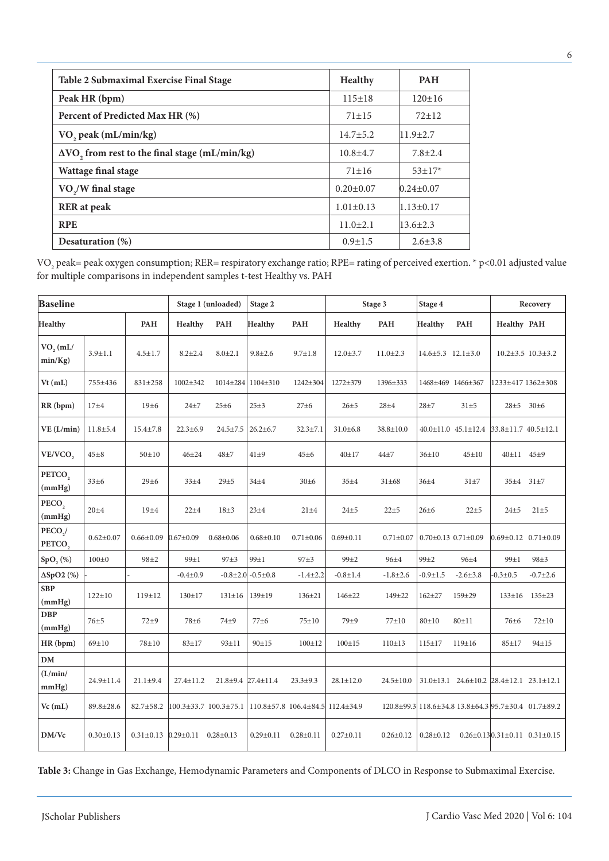| Table 2 Submaximal Exercise Final Stage                      | <b>Healthy</b>  | <b>PAH</b>      |
|--------------------------------------------------------------|-----------------|-----------------|
| Peak HR (bpm)                                                | $115 \pm 18$    | $120 \pm 16$    |
| Percent of Predicted Max HR (%)                              | $71 + 15$       | $72+12$         |
| VO <sub>2</sub> peak (mL/min/kg)                             | $14.7 \pm 5.2$  | $11.9 \pm 2.7$  |
| $\Delta\text{VO}$ , from rest to the final stage (mL/min/kg) | $10.8 + 4.7$    | $7.8 \pm 2.4$   |
| Wattage final stage                                          | $71 \pm 16$     | $53 \pm 17$ *   |
| VO <sub>2</sub> /W final stage                               | $0.20 \pm 0.07$ | $0.24 \pm 0.07$ |
| <b>RER</b> at peak                                           | $1.01 \pm 0.13$ | $1.13 \pm 0.17$ |
| <b>RPE</b>                                                   | $11.0 \pm 2.1$  | $13.6 \pm 2.3$  |
| Desaturation $(\%)$                                          | $0.9 \pm 1.5$   | $2.6 \pm 3.8$   |

VO<sub>2</sub> peak= peak oxygen consumption; RER= respiratory exchange ratio; RPE= rating of perceived exertion.  $*$  p<0.01 adjusted value for multiple comparisons in independent samples t-test Healthy vs. PAH

| <b>Baseline</b>               |                 | Stage 1 (unloaded) |                  | Stage 2               |                                   | Stage 3          |                  | Stage 4         |                               | Recovery                                                          |                                 |                                                      |
|-------------------------------|-----------------|--------------------|------------------|-----------------------|-----------------------------------|------------------|------------------|-----------------|-------------------------------|-------------------------------------------------------------------|---------------------------------|------------------------------------------------------|
| Healthy                       |                 | <b>PAH</b>         | <b>Healthy</b>   | PAH                   | Healthy                           | <b>PAH</b>       | <b>Healthy</b>   | PAH             | Healthy                       | PAH                                                               | Healthy PAH                     |                                                      |
| $VO2$ (mL/<br>min(Kg)         | $3.9 \pm 1.1$   | $4.5 \pm 1.7$      | $8.2 \pm 2.4$    | $8.0 \pm 2.1$         | $9.8 \pm 2.6$                     | $9.7 \pm 1.8$    | $12.0 \pm 3.7$   | $11.0 \pm 2.3$  | $14.6 \pm 5.3$ $12.1 \pm 3.0$ |                                                                   |                                 | $10.2 \pm 3.5$ $10.3 \pm 3.2$                        |
| $Vt$ (mL)                     | 755±436         | 831±258            | 1002±342         | 1014±284              | 1104±310                          | 1242±304         | 1272±379         | 1396±333        |                               | 1468±469 1466±367                                                 | 1233±417 1362±308               |                                                      |
| RR (bpm)                      | $17\pm 4$       | 19±6               | $24\pm7$         | $25 \pm 6$            | $25 + 3$                          | 27 <sub>±6</sub> | $26 + 5$         | $28 + 4$        | $28 + 7$                      | $31\pm5$                                                          | $28 \pm 5$                      | 30±6                                                 |
| VE(L/min)                     | $11.8 \pm 5.4$  | $15.4 \pm 7.8$     | $22.3 \pm 6.9$   | $24.5 \pm 7.5$        | $26.2 \pm 6.7$                    | $32.3 \pm 7.1$   | $31.0 \pm 6.8$   | 38.8±10.0       |                               | $40.0 \pm 11.0$ $45.1 \pm 12.4$                                   | $33.8 \pm 11.7$ 40.5 $\pm 12.1$ |                                                      |
| VE/VCO,                       | $45\pm8$        | $50 \pm 10$        | $46 + 24$        | $48\pm7$              | $41\pm9$                          | 45±6             | $40 \pm 17$      | 44±7            | $36 \pm 10$                   | $45 \pm 10$                                                       | 40±11 45±9                      |                                                      |
| PETCO <sub>2</sub><br>(mmHg)  | 33±6            | 29±6               | 33±4             | $29 + 5$              | $34\pm4$                          | 30±6             | $35 + 4$         | 31±68           | $36 + 4$                      | $31\pm7$                                                          | $35\pm4$                        | $31\pm7$                                             |
| PECO <sub>2</sub><br>(mmHg)   | $20 + 4$        | 19±4               | $22 + 4$         | $18 + 3$              | $23 + 4$                          | $21 + 4$         | $24 + 5$         | $22 + 5$        | $26 \pm 6$                    | $22 + 5$                                                          | $24 + 5$                        | $21 + 5$                                             |
| PECO <sub>2</sub> /<br>PETCO, | $0.62 \pm 0.07$ | $0.66 \pm 0.09$    | $0.67 \pm 0.09$  | $0.68 \pm 0.06$       | $0.68 \pm 0.10$                   | $0.71 \pm 0.06$  | $0.69 \pm 0.11$  | $0.71 \pm 0.07$ |                               | $0.70 \pm 0.13$ $0.71 \pm 0.09$                                   |                                 | $0.69 \pm 0.12$ $0.71 \pm 0.09$                      |
| SpO <sub>2</sub> (%)          | $100\pm0$       | $98 + 2$           | 99±1             | 97±3                  | 99±1                              | 97±3             | 99±2             | $96 + 4$        | 99±2                          | $96 + 4$                                                          | 99±1                            | $98 + 3$                                             |
| $\Delta SpO2(%)$              |                 |                    | $-0.4 \pm 0.9$   | $-0.8{\pm}2.0$        | $-0.5 \pm 0.8$                    | $-1.4 \pm 2.2$   | $-0.8 \pm 1.4$   | $-1.8 \pm 2.6$  | $-0.9 \pm 1.5$                | $-2.6 \pm 3.8$                                                    | $-0.3 \pm 0.5$                  | $-0.7{\pm}2.6$                                       |
| <b>SBP</b><br>(mmHg)          | $122 \pm 10$    | 119±12             | $130 \pm 17$     | $131 \pm 16$          | 139±19                            | $136 \pm 21$     | 146±22           | $149 + 22$      | $162 + 27$                    | 159±29                                                            |                                 | 133±16 135±23                                        |
| <b>DBP</b><br>(mmHg)          | $76 + 5$        | $72\pm9$           | 78 <sup>±6</sup> | 74 <sup>+9</sup>      | $77\pm 6$                         | 75±10            | 79±9             | 77±10           | 80±10                         | $80 + 11$                                                         | 76±6                            | $72 \pm 10$                                          |
| HR(bpm)                       | $69 + 10$       | 78±10              | $83 + 17$        | $93 \pm 11$           | $90 + 15$                         | $100 \pm 12$     | $100 \pm 15$     | 110±13          | $115 \pm 17$                  | 119±16                                                            | $85 \pm 17$                     | 94±15                                                |
| DM                            |                 |                    |                  |                       |                                   |                  |                  |                 |                               |                                                                   |                                 |                                                      |
| (L/min/<br>mmHg)              | 24.9±11.4       | $21.1 \pm 9.4$     | 27.4±11.2        |                       | $21.8 \pm 9.4$ 27.4 $\pm 11.4$    | $23.3 + 9.3$     | $28.1 \pm 12.0$  | $24.5 \pm 10.0$ |                               | $31.0 \pm 13.1$ $24.6 \pm 10.2$ $28.4 \pm 12.1$ $23.1 \pm 12.1$   |                                 |                                                      |
| $Vc$ (mL)                     | 89.8±28.6       | 82.7±58.2          |                  | 100.3±33.7 100.3±75.1 | $110.8 \pm 57.8$ $106.4 \pm 84.5$ |                  | $112.4 \pm 34.9$ |                 |                               | 120.8 ± 99.3   118.6 ± 34.8 13.8 ± 64.3   95.7 ± 30.4 01.7 ± 89.2 |                                 |                                                      |
| DM/Vc                         | $0.30 \pm 0.13$ | $0.31 \pm 0.13$    | $0.29 \pm 0.11$  | $0.28 \pm 0.13$       | $0.29 \pm 0.11$                   | $0.28 \pm 0.11$  | $0.27 \pm 0.11$  | $0.26 \pm 0.12$ | $0.28 \pm 0.12$               |                                                                   |                                 | $0.26 \pm 0.13 \times 0.31 \pm 0.11$ $0.31 \pm 0.15$ |

**Table 3:** Change in Gas Exchange, Hemodynamic Parameters and Components of DLCO in Response to Submaximal Exercise.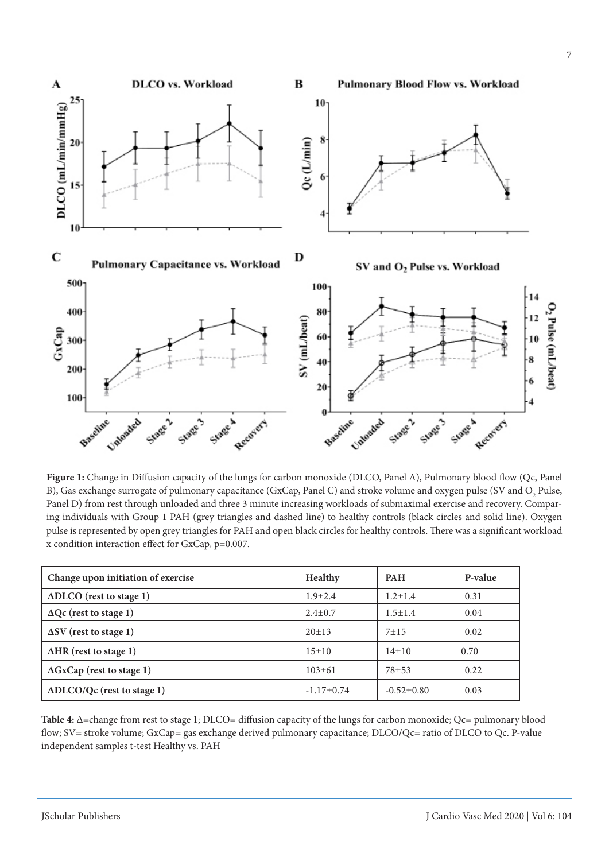

**Figure 1:** Change in Diffusion capacity of the lungs for carbon monoxide (DLCO, Panel A), Pulmonary blood flow (Qc, Panel B), Gas exchange surrogate of pulmonary capacitance (GxCap, Panel C) and stroke volume and oxygen pulse (SV and  $\rm O_2$  Pulse, Panel D) from rest through unloaded and three 3 minute increasing workloads of submaximal exercise and recovery. Comparing individuals with Group 1 PAH (grey triangles and dashed line) to healthy controls (black circles and solid line). Oxygen pulse is represented by open grey triangles for PAH and open black circles for healthy controls. There was a significant workload x condition interaction effect for GxCap, p=0.007.

| Change upon initiation of exercise   | <b>Healthy</b> | <b>PAH</b>       | P-value |
|--------------------------------------|----------------|------------------|---------|
| $\Delta$ DLCO (rest to stage 1)      | $1.9 \pm 2.4$  | $1.2 \pm 1.4$    | 0.31    |
| $\Delta$ Qc (rest to stage 1)        | $2.4 \pm 0.7$  | $1.5 \pm 1.4$    | 0.04    |
| $\Delta$ SV (rest to stage 1)        | $20+13$        | $7 + 15$         | 0.02    |
| $\Delta HR$ (rest to stage 1)        | 15±10          | $14\pm10$        | 0.70    |
| $\Delta$ GxCap (rest to stage 1)     | $103 \pm 61$   | $78 + 53$        | 0.22    |
| $\Delta D L CO/Qc$ (rest to stage 1) | $-1.17\pm0.74$ | $-0.52 \pm 0.80$ | 0.03    |

**Table 4:** Δ=change from rest to stage 1; DLCO= diffusion capacity of the lungs for carbon monoxide; Qc= pulmonary blood flow; SV= stroke volume; GxCap= gas exchange derived pulmonary capacitance; DLCO/Qc= ratio of DLCO to Qc. P-value independent samples t-test Healthy vs. PAH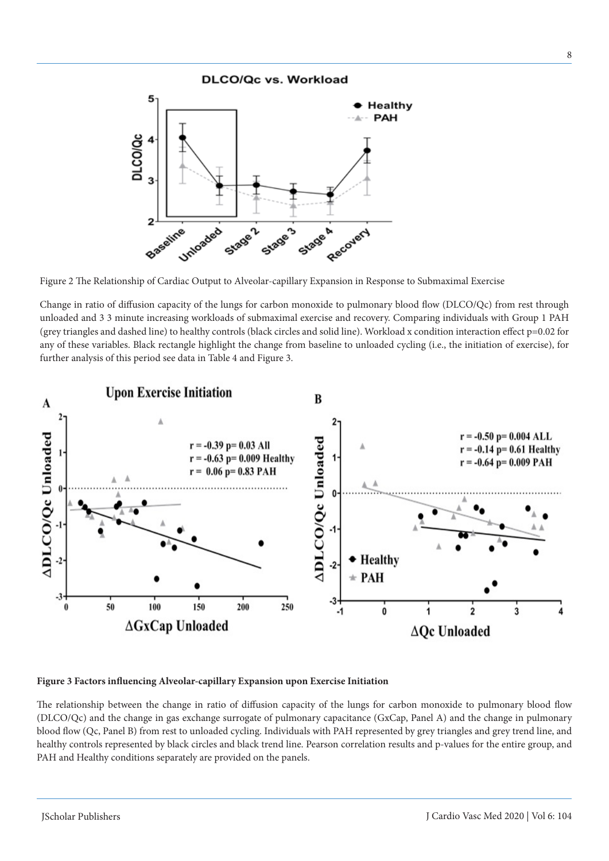

Figure 2 The Relationship of Cardiac Output to Alveolar-capillary Expansion in Response to Submaximal Exercise

Change in ratio of diffusion capacity of the lungs for carbon monoxide to pulmonary blood flow (DLCO/Qc) from rest through unloaded and 3 3 minute increasing workloads of submaximal exercise and recovery. Comparing individuals with Group 1 PAH (grey triangles and dashed line) to healthy controls (black circles and solid line). Workload x condition interaction effect p=0.02 for any of these variables. Black rectangle highlight the change from baseline to unloaded cycling (i.e., the initiation of exercise), for further analysis of this period see data in Table 4 and Figure 3.



#### **Figure 3 Factors influencing Alveolar-capillary Expansion upon Exercise Initiation**

The relationship between the change in ratio of diffusion capacity of the lungs for carbon monoxide to pulmonary blood flow (DLCO/Qc) and the change in gas exchange surrogate of pulmonary capacitance (GxCap, Panel A) and the change in pulmonary blood flow (Qc, Panel B) from rest to unloaded cycling. Individuals with PAH represented by grey triangles and grey trend line, and healthy controls represented by black circles and black trend line. Pearson correlation results and p-values for the entire group, and PAH and Healthy conditions separately are provided on the panels.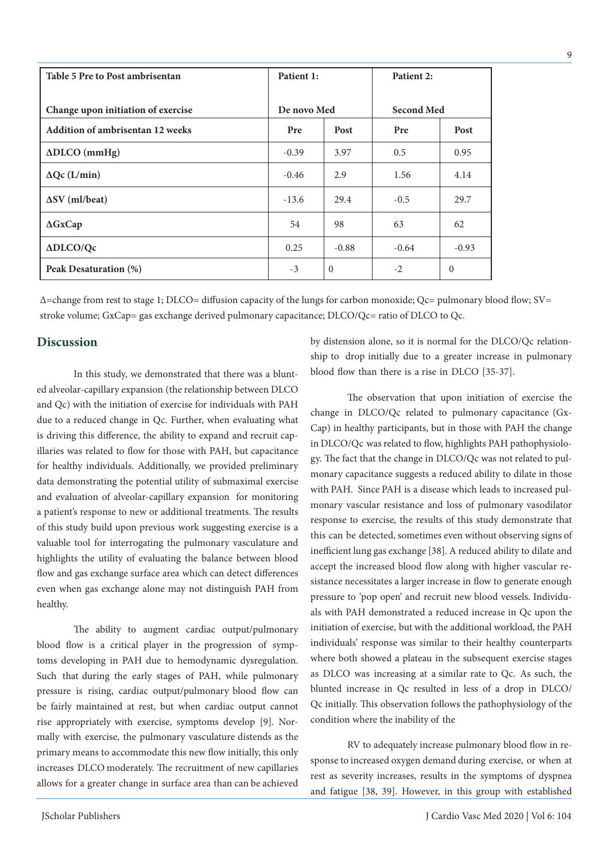| Table 5 Pre to Post ambrisentan    | Patient 1:  |                | Patient 2:        |          |  |
|------------------------------------|-------------|----------------|-------------------|----------|--|
| Change upon initiation of exercise | De novo Med |                | <b>Second Med</b> |          |  |
| Addition of ambrisentan 12 weeks   | Pre         | Post           | Post<br>Pre       |          |  |
|                                    |             |                |                   |          |  |
| $\triangle DLCO$ (mmHg)            | $-0.39$     | 3.97           | 0.5               | 0.95     |  |
| $\Delta \mathrm{Qc}$ (L/min)       | $-0.46$     | 2.9            | 1.56              | 4.14     |  |
| $\Delta$ SV (ml/beat)              | $-13.6$     | 29.4           | $-0.5$            | 29.7     |  |
| $\Delta$ GxCap                     | 54          | 98             | 63                | 62       |  |
| ADLCO/Qc                           | 0.25        | $-0.88$        | $-0.64$           | $-0.93$  |  |
| Peak Desaturation (%)              | $-3$        | $\overline{0}$ | $-2$              | $\Omega$ |  |

Δ=change from rest to stage 1; DLCO= diffusion capacity of the lungs for carbon monoxide; Qc= pulmonary blood flow; SV= stroke volume; GxCap= gas exchange derived pulmonary capacitance; DLCO/Qc= ratio of DLCO to Qc.

## **Discussion**

In this study, we demonstrated that there was a blunted alveolar-capillary expansion (the relationship between DLCO and Qc) with the initiation of exercise for individuals with PAH due to a reduced change in Qc. Further, when evaluating what is driving this difference, the ability to expand and recruit capillaries was related to flow for those with PAH, but capacitance for healthy individuals. Additionally, we provided preliminary data demonstrating the potential utility of submaximal exercise and evaluation of alveolar-capillary expansion for monitoring a patient's response to new or additional treatments. The results of this study build upon previous work suggesting exercise is a valuable tool for interrogating the pulmonary vasculature and highlights the utility of evaluating the balance between blood flow and gas exchange surface area which can detect differences even when gas exchange alone may not distinguish PAH from healthy.

The ability to augment cardiac output/pulmonary blood flow is a critical player in the progression of symptoms developing in PAH due to hemodynamic dysregulation. Such that during the early stages of PAH, while pulmonary pressure is rising, cardiac output/pulmonary blood flow can be fairly maintained at rest, but when cardiac output cannot rise appropriately with exercise, symptoms develop [9]. Normally with exercise, the pulmonary vasculature distends as the primary means to accommodate this new flow initially, this only increases DLCO moderately. The recruitment of new capillaries allows for a greater change in surface area than can be achieved by distension alone, so it is normal for the DLCO/Qc relationship to drop initially due to a greater increase in pulmonary blood flow than there is a rise in DLCO [35-37].

The observation that upon initiation of exercise the change in DLCO/Qc related to pulmonary capacitance (Gx-Cap) in healthy participants, but in those with PAH the change in DLCO/Qc was related to flow, highlights PAH pathophysiology. The fact that the change in DLCO/Qc was not related to pulmonary capacitance suggests a reduced ability to dilate in those with PAH. Since PAH is a disease which leads to increased pulmonary vascular resistance and loss of pulmonary vasodilator response to exercise, the results of this study demonstrate that this can be detected, sometimes even without observing signs of inefficient lung gas exchange [38]. A reduced ability to dilate and accept the increased blood flow along with higher vascular resistance necessitates a larger increase in flow to generate enough pressure to 'pop open' and recruit new blood vessels. Individuals with PAH demonstrated a reduced increase in Qc upon the initiation of exercise, but with the additional workload, the PAH individuals' response was similar to their healthy counterparts where both showed a plateau in the subsequent exercise stages as DLCO was increasing at a similar rate to Qc. As such, the blunted increase in Qc resulted in less of a drop in DLCO/ Qc initially. This observation follows the pathophysiology of the condition where the inability of the

RV to adequately increase pulmonary blood flow in response to increased oxygen demand during exercise, or when at rest as severity increases, results in the symptoms of dyspnea and fatigue [38, 39]. However, in this group with established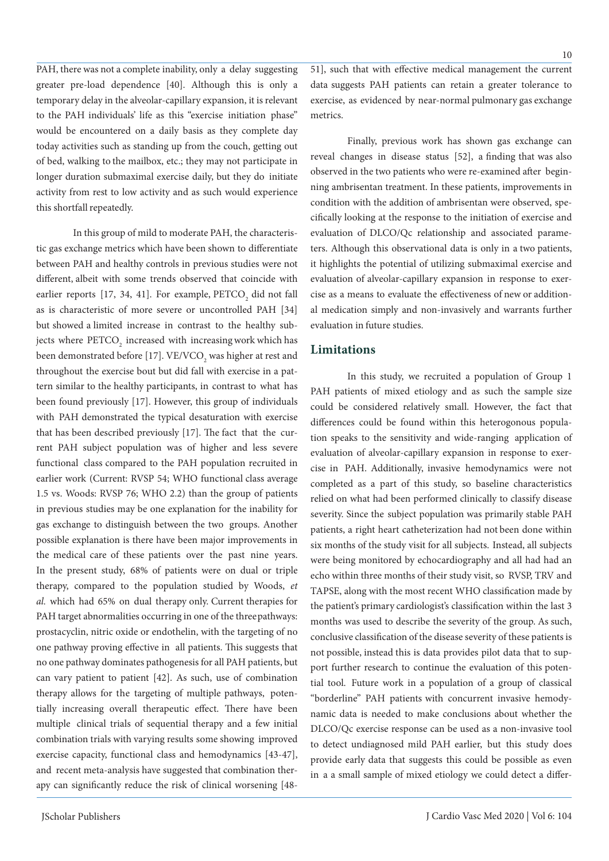PAH, there was not a complete inability, only a delay suggesting greater pre-load dependence [40]. Although this is only a temporary delay in the alveolar-capillary expansion, it is relevant to the PAH individuals' life as this "exercise initiation phase" would be encountered on a daily basis as they complete day today activities such as standing up from the couch, getting out of bed, walking to the mailbox, etc.; they may not participate in longer duration submaximal exercise daily, but they do initiate activity from rest to low activity and as such would experience this shortfall repeatedly.

In this group of mild to moderate PAH, the characteristic gas exchange metrics which have been shown to differentiate between PAH and healthy controls in previous studies were not different, albeit with some trends observed that coincide with earlier reports [17, 34, 41]. For example,  $\text{PETCO}_2$  did not fall as is characteristic of more severe or uncontrolled PAH [34] but showed a limited increase in contrast to the healthy subjects where  $\mathrm{PETCO}_2$  increased with increasing work which has been demonstrated before [17].  $\mathrm{VE/VCO}_2$  was higher at rest and throughout the exercise bout but did fall with exercise in a pattern similar to the healthy participants, in contrast to what has been found previously [17]. However, this group of individuals with PAH demonstrated the typical desaturation with exercise that has been described previously [17]. The fact that the current PAH subject population was of higher and less severe functional class compared to the PAH population recruited in earlier work (Current: RVSP 54; WHO functional class average 1.5 vs. Woods: RVSP 76; WHO 2.2) than the group of patients in previous studies may be one explanation for the inability for gas exchange to distinguish between the two groups. Another possible explanation is there have been major improvements in the medical care of these patients over the past nine years. In the present study, 68% of patients were on dual or triple therapy, compared to the population studied by Woods, *et al.* which had 65% on dual therapy only. Current therapies for PAH target abnormalities occurring in one of the three pathways: prostacyclin, nitric oxide or endothelin, with the targeting of no one pathway proving effective in all patients. This suggests that no one pathway dominates pathogenesis for all PAH patients, but can vary patient to patient [42]. As such, use of combination therapy allows for the targeting of multiple pathways, potentially increasing overall therapeutic effect. There have been multiple clinical trials of sequential therapy and a few initial combination trials with varying results some showing improved exercise capacity, functional class and hemodynamics [43-47], and recent meta-analysis have suggested that combination therapy can significantly reduce the risk of clinical worsening [4851], such that with effective medical management the current data suggests PAH patients can retain a greater tolerance to exercise, as evidenced by near-normal pulmonary gas exchange metrics.

Finally, previous work has shown gas exchange can reveal changes in disease status [52], a finding that was also observed in the two patients who were re-examined after beginning ambrisentan treatment. In these patients, improvements in condition with the addition of ambrisentan were observed, specifically looking at the response to the initiation of exercise and evaluation of DLCO/Qc relationship and associated parameters. Although this observational data is only in a two patients, it highlights the potential of utilizing submaximal exercise and evaluation of alveolar-capillary expansion in response to exercise as a means to evaluate the effectiveness of new or additional medication simply and non-invasively and warrants further evaluation in future studies.

#### **Limitations**

In this study, we recruited a population of Group 1 PAH patients of mixed etiology and as such the sample size could be considered relatively small. However, the fact that differences could be found within this heterogonous population speaks to the sensitivity and wide-ranging application of evaluation of alveolar-capillary expansion in response to exercise in PAH. Additionally, invasive hemodynamics were not completed as a part of this study, so baseline characteristics relied on what had been performed clinically to classify disease severity. Since the subject population was primarily stable PAH patients, a right heart catheterization had not been done within six months of the study visit for all subjects. Instead, all subjects were being monitored by echocardiography and all had had an echo within three months of their study visit, so RVSP, TRV and TAPSE, along with the most recent WHO classification made by the patient's primary cardiologist's classification within the last 3 months was used to describe the severity of the group. As such, conclusive classification of the disease severity of these patients is not possible, instead this is data provides pilot data that to support further research to continue the evaluation of this potential tool. Future work in a population of a group of classical "borderline" PAH patients with concurrent invasive hemodynamic data is needed to make conclusions about whether the DLCO/Qc exercise response can be used as a non-invasive tool to detect undiagnosed mild PAH earlier, but this study does provide early data that suggests this could be possible as even in a a small sample of mixed etiology we could detect a differ-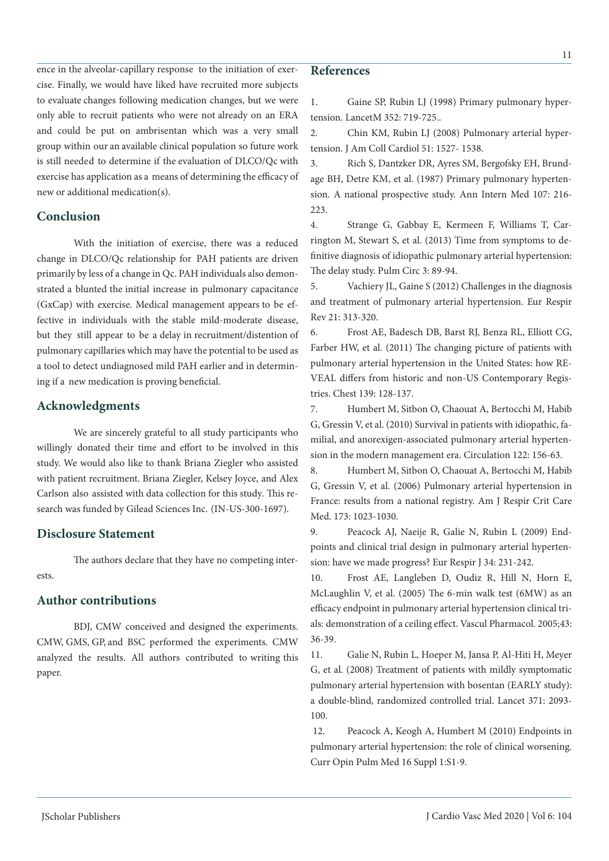# ence in the alveolar-capillary response to the initiation of exercise. Finally, we would have liked have recruited more subjects to evaluate changes following medication changes, but we were only able to recruit patients who were not already on an ERA and could be put on ambrisentan which was a very small group within our an available clinical population so future work is still needed to determine if the evaluation of DLCO/Qc with exercise has application as a means of determining the efficacy of new or additional medication(s).

## **Conclusion**

With the initiation of exercise, there was a reduced change in DLCO/Qc relationship for PAH patients are driven primarily by less of a change in Qc. PAH individuals also demonstrated a blunted the initial increase in pulmonary capacitance (GxCap) with exercise. Medical management appears to be effective in individuals with the stable mild-moderate disease, but they still appear to be a delay in recruitment/distention of pulmonary capillaries which may have the potential to be used as a tool to detect undiagnosed mild PAH earlier and in determining if a new medication is proving beneficial.

### **Acknowledgments**

We are sincerely grateful to all study participants who willingly donated their time and effort to be involved in this study. We would also like to thank Briana Ziegler who assisted with patient recruitment. Briana Ziegler, Kelsey Joyce, and Alex Carlson also assisted with data collection for this study*.* This research was funded by Gilead Sciences Inc. (IN-US-300-1697).

## **Disclosure Statement**

The authors declare that they have no competing interests.

## **Author contributions**

BDJ, CMW conceived and designed the experiments. CMW, GMS, GP, and BSC performed the experiments. CMW analyzed the results. All authors contributed to writing this paper.

# **References**

1. Gaine SP, Rubin LJ (1998) Primary pulmonary hypertension. LancetM 352: 719-725..

2. Chin KM, Rubin LJ (2008) Pulmonary arterial hypertension. J Am Coll Cardiol 51: 1527- 1538.

3. Rich S, Dantzker DR, Ayres SM, Bergofsky EH, Brundage BH, Detre KM, et al. (1987) Primary pulmonary hypertension. A national prospective study. Ann Intern Med 107: 216- 223.

4. Strange G, Gabbay E, Kermeen F, Williams T, Carrington M, Stewart S, et al. (2013) Time from symptoms to definitive diagnosis of idiopathic pulmonary arterial hypertension: The delay study. Pulm Circ 3: 89-94.

5. Vachiery JL, Gaine S (2012) Challenges in the diagnosis and treatment of pulmonary arterial hypertension. Eur Respir Rev 21: 313-320.

6. Frost AE, Badesch DB, Barst RJ, Benza RL, Elliott CG, Farber HW, et al. (2011) The changing picture of patients with pulmonary arterial hypertension in the United States: how RE-VEAL differs from historic and non-US Contemporary Registries. Chest 139: 128-137.

7. Humbert M, Sitbon O, Chaouat A, Bertocchi M, Habib G, Gressin V, et al. (2010) Survival in patients with idiopathic, familial, and anorexigen-associated pulmonary arterial hypertension in the modern management era. Circulation 122: 156-63.

8. Humbert M, Sitbon O, Chaouat A, Bertocchi M, Habib G, Gressin V, et al. (2006) Pulmonary arterial hypertension in France: results from a national registry. Am J Respir Crit Care Med. 173: 1023-1030.

9. Peacock AJ, Naeije R, Galie N, Rubin L (2009) Endpoints and clinical trial design in pulmonary arterial hypertension: have we made progress? Eur Respir J 34: 231-242.

10. Frost AE, Langleben D, Oudiz R, Hill N, Horn E, McLaughlin V, et al. (2005) The 6-min walk test (6MW) as an efficacy endpoint in pulmonary arterial hypertension clinical trials: demonstration of a ceiling effect. Vascul Pharmacol. 2005;43: 36-39.

11. Galie N, Rubin L, Hoeper M, Jansa P, Al-Hiti H, Meyer G, et al. (2008) Treatment of patients with mildly symptomatic pulmonary arterial hypertension with bosentan (EARLY study): a double-blind, randomized controlled trial. Lancet 371: 2093- 100.

 12. Peacock A, Keogh A, Humbert M (2010) Endpoints in pulmonary arterial hypertension: the role of clinical worsening. Curr Opin Pulm Med 16 Suppl 1:S1-9.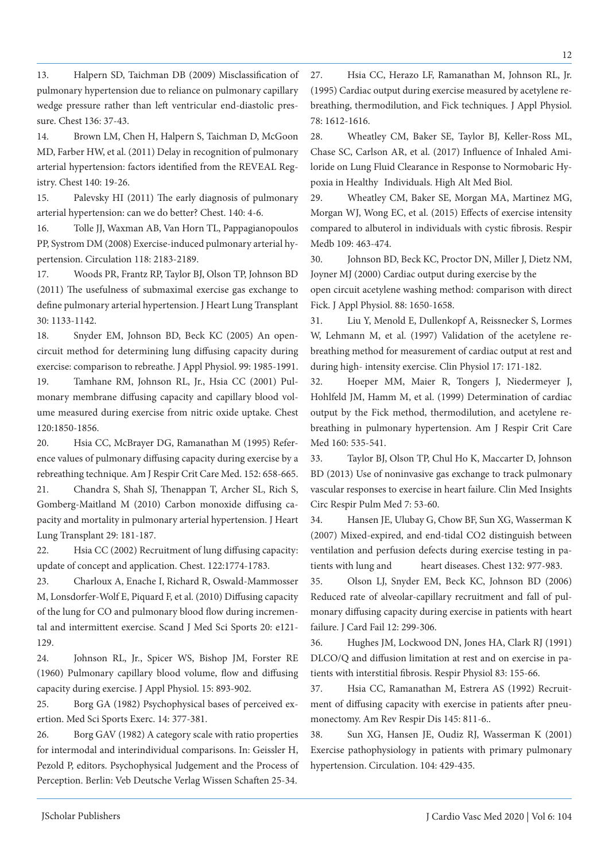13. Halpern SD, Taichman DB (2009) Misclassification of pulmonary hypertension due to reliance on pulmonary capillary wedge pressure rather than left ventricular end-diastolic pressure. Chest 136: 37-43.

14. Brown LM, Chen H, Halpern S, Taichman D, McGoon MD, Farber HW, et al. (2011) Delay in recognition of pulmonary arterial hypertension: factors identified from the REVEAL Registry. Chest 140: 19-26.

15. Palevsky HI (2011) The early diagnosis of pulmonary arterial hypertension: can we do better? Chest. 140: 4-6.

16. Tolle JJ, Waxman AB, Van Horn TL, Pappagianopoulos PP, Systrom DM (2008) Exercise-induced pulmonary arterial hypertension. Circulation 118: 2183-2189.

17. Woods PR, Frantz RP, Taylor BJ, Olson TP, Johnson BD (2011) The usefulness of submaximal exercise gas exchange to define pulmonary arterial hypertension. J Heart Lung Transplant 30: 1133-1142.

18. Snyder EM, Johnson BD, Beck KC (2005) An opencircuit method for determining lung diffusing capacity during exercise: comparison to rebreathe. J Appl Physiol. 99: 1985-1991. 19. Tamhane RM, Johnson RL, Jr., Hsia CC (2001) Pulmonary membrane diffusing capacity and capillary blood volume measured during exercise from nitric oxide uptake. Chest 120:1850-1856.

20. Hsia CC, McBrayer DG, Ramanathan M (1995) Reference values of pulmonary diffusing capacity during exercise by a rebreathing technique. Am J Respir Crit Care Med. 152: 658-665. 21. Chandra S, Shah SJ, Thenappan T, Archer SL, Rich S, Gomberg-Maitland M (2010) Carbon monoxide diffusing capacity and mortality in pulmonary arterial hypertension. J Heart Lung Transplant 29: 181-187.

22. Hsia CC (2002) Recruitment of lung diffusing capacity: update of concept and application. Chest. 122:1774-1783.

23. Charloux A, Enache I, Richard R, Oswald-Mammosser M, Lonsdorfer-Wolf E, Piquard F, et al. (2010) Diffusing capacity of the lung for CO and pulmonary blood flow during incremental and intermittent exercise. Scand J Med Sci Sports 20: e121- 129.

24. Johnson RL, Jr., Spicer WS, Bishop JM, Forster RE (1960) Pulmonary capillary blood volume, flow and diffusing capacity during exercise. J Appl Physiol. 15: 893-902.

25. Borg GA (1982) Psychophysical bases of perceived exertion. Med Sci Sports Exerc. 14: 377-381.

26. Borg GAV (1982) A category scale with ratio properties for intermodal and interindividual comparisons. In: Geissler H, Pezold P, editors. Psychophysical Judgement and the Process of Perception. Berlin: Veb Deutsche Verlag Wissen Schaften 25-34.

27. Hsia CC, Herazo LF, Ramanathan M, Johnson RL, Jr. (1995) Cardiac output during exercise measured by acetylene rebreathing, thermodilution, and Fick techniques. J Appl Physiol. 78: 1612-1616.

28. Wheatley CM, Baker SE, Taylor BJ, Keller-Ross ML, Chase SC, Carlson AR, et al. (2017) Influence of Inhaled Amiloride on Lung Fluid Clearance in Response to Normobaric Hypoxia in Healthy Individuals. High Alt Med Biol.

29. Wheatley CM, Baker SE, Morgan MA, Martinez MG, Morgan WJ, Wong EC, et al. (2015) Effects of exercise intensity compared to albuterol in individuals with cystic fibrosis. Respir Medb 109: 463-474.

30. Johnson BD, Beck KC, Proctor DN, Miller J, Dietz NM, Joyner MJ (2000) Cardiac output during exercise by the

open circuit acetylene washing method: comparison with direct Fick. J Appl Physiol. 88: 1650-1658.

31. Liu Y, Menold E, Dullenkopf A, Reissnecker S, Lormes W, Lehmann M, et al. (1997) Validation of the acetylene rebreathing method for measurement of cardiac output at rest and during high- intensity exercise. Clin Physiol 17: 171-182.

32. Hoeper MM, Maier R, Tongers J, Niedermeyer J, Hohlfeld JM, Hamm M, et al. (1999) Determination of cardiac output by the Fick method, thermodilution, and acetylene rebreathing in pulmonary hypertension. Am J Respir Crit Care Med 160: 535-541.

33. Taylor BJ, Olson TP, Chul Ho K, Maccarter D, Johnson BD (2013) Use of noninvasive gas exchange to track pulmonary vascular responses to exercise in heart failure. Clin Med Insights Circ Respir Pulm Med 7: 53-60.

34. Hansen JE, Ulubay G, Chow BF, Sun XG, Wasserman K (2007) Mixed-expired, and end-tidal CO2 distinguish between ventilation and perfusion defects during exercise testing in patients with lung and heart diseases. Chest 132: 977-983.

35. Olson LJ, Snyder EM, Beck KC, Johnson BD (2006) Reduced rate of alveolar-capillary recruitment and fall of pulmonary diffusing capacity during exercise in patients with heart failure. J Card Fail 12: 299-306.

36. Hughes JM, Lockwood DN, Jones HA, Clark RJ (1991) DLCO/Q and diffusion limitation at rest and on exercise in patients with interstitial fibrosis. Respir Physiol 83: 155-66.

37. Hsia CC, Ramanathan M, Estrera AS (1992) Recruitment of diffusing capacity with exercise in patients after pneumonectomy. Am Rev Respir Dis 145: 811-6..

38. Sun XG, Hansen JE, Oudiz RJ, Wasserman K (2001) Exercise pathophysiology in patients with primary pulmonary hypertension. Circulation. 104: 429-435.